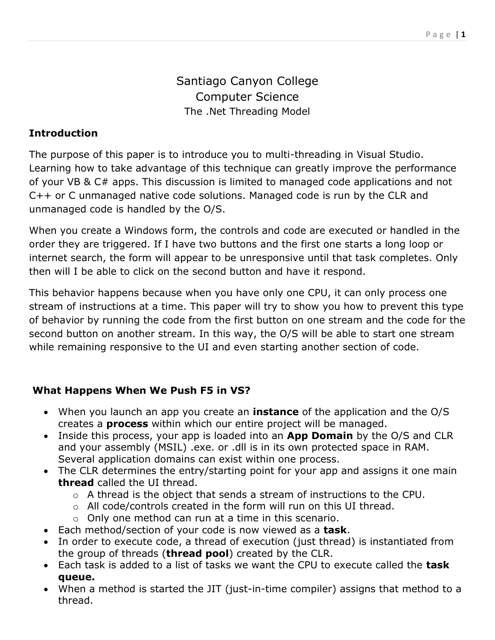# Santiago Canyon College Computer Science The .Net Threading Model

# **Introduction**

The purpose of this paper is to introduce you to multi-threading in Visual Studio. Learning how to take advantage of this technique can greatly improve the performance of your VB & C# apps. This discussion is limited to managed code applications and not C++ or C unmanaged native code solutions. Managed code is run by the CLR and unmanaged code is handled by the O/S.

When you create a Windows form, the controls and code are executed or handled in the order they are triggered. If I have two buttons and the first one starts a long loop or internet search, the form will appear to be unresponsive until that task completes. Only then will I be able to click on the second button and have it respond.

This behavior happens because when you have only one CPU, it can only process one stream of instructions at a time. This paper will try to show you how to prevent this type of behavior by running the code from the first button on one stream and the code for the second button on another stream. In this way, the O/S will be able to start one stream while remaining responsive to the UI and even starting another section of code.

## **What Happens When We Push F5 in VS?**

- When you launch an app you create an **instance** of the application and the O/S creates a **process** within which our entire project will be managed.
- Inside this process, your app is loaded into an **App Domain** by the O/S and CLR and your assembly (MSIL) .exe. or .dll is in its own protected space in RAM. Several application domains can exist within one process.
- The CLR determines the entry/starting point for your app and assigns it one main **thread** called the UI thread.
	- o A thread is the object that sends a stream of instructions to the CPU.
	- o All code/controls created in the form will run on this UI thread.
	- o Only one method can run at a time in this scenario.
- Each method/section of your code is now viewed as a **task**.
- In order to execute code, a thread of execution (just thread) is instantiated from the group of threads (**thread pool**) created by the CLR.
- Each task is added to a list of tasks we want the CPU to execute called the **task queue.**
- When a method is started the JIT (just-in-time compiler) assigns that method to a thread.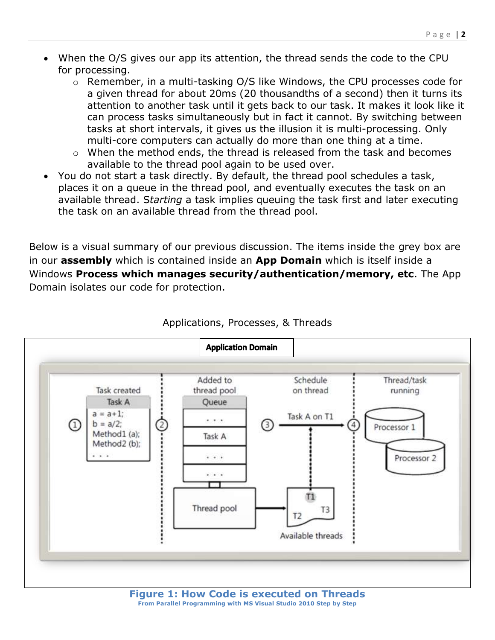- When the O/S gives our app its attention, the thread sends the code to the CPU for processing.
	- o Remember, in a multi-tasking O/S like Windows, the CPU processes code for a given thread for about 20ms (20 thousandths of a second) then it turns its attention to another task until it gets back to our task. It makes it look like it can process tasks simultaneously but in fact it cannot. By switching between tasks at short intervals, it gives us the illusion it is multi-processing. Only multi-core computers can actually do more than one thing at a time.
	- o When the method ends, the thread is released from the task and becomes available to the thread pool again to be used over.
- You do not start a task directly. By default, the thread pool schedules a task, places it on a queue in the thread pool, and eventually executes the task on an available thread. S*tarting* a task implies queuing the task first and later executing the task on an available thread from the thread pool.

Below is a visual summary of our previous discussion. The items inside the grey box are in our **assembly** which is contained inside an **App Domain** which is itself inside a Windows **Process which manages security/authentication/memory, etc**. The App Domain isolates our code for protection.



#### Applications, Processes, & Threads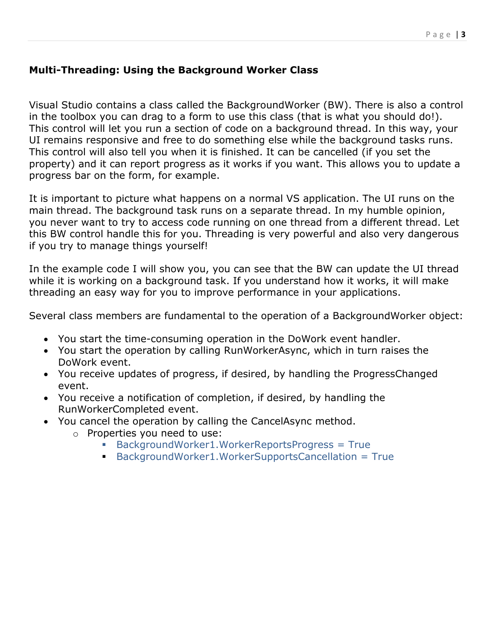### **Multi-Threading: Using the Background Worker Class**

Visual Studio contains a class called the BackgroundWorker (BW). There is also a control in the toolbox you can drag to a form to use this class (that is what you should do!). This control will let you run a section of code on a background thread. In this way, your UI remains responsive and free to do something else while the background tasks runs. This control will also tell you when it is finished. It can be cancelled (if you set the property) and it can report progress as it works if you want. This allows you to update a progress bar on the form, for example.

It is important to picture what happens on a normal VS application. The UI runs on the main thread. The background task runs on a separate thread. In my humble opinion, you never want to try to access code running on one thread from a different thread. Let this BW control handle this for you. Threading is very powerful and also very dangerous if you try to manage things yourself!

In the example code I will show you, you can see that the BW can update the UI thread while it is working on a background task. If you understand how it works, it will make threading an easy way for you to improve performance in your applications.

Several class members are fundamental to the operation of a BackgroundWorker object:

- You start the time-consuming operation in the DoWork event handler.
- You start the operation by calling RunWorkerAsync, which in turn raises the DoWork event.
- You receive updates of progress, if desired, by handling the ProgressChanged event.
- You receive a notification of completion, if desired, by handling the RunWorkerCompleted event.
- You cancel the operation by calling the CancelAsync method.
	- o Properties you need to use:
		- BackgroundWorker1.WorkerReportsProgress = True
		- BackgroundWorker1.WorkerSupportsCancellation = True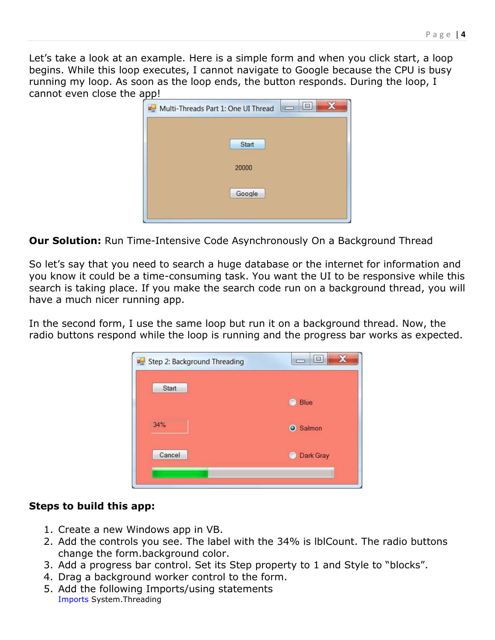Let's take a look at an example. Here is a simple form and when you click start, a loop begins. While this loop executes, I cannot navigate to Google because the CPU is busy running my loop. As soon as the loop ends, the button responds. During the loop, I cannot even close the app!



**Our Solution:** Run Time-Intensive Code Asynchronously On a Background Thread

So let's say that you need to search a huge database or the internet for information and you know it could be a time-consuming task. You want the UI to be responsive while this search is taking place. If you make the search code run on a background thread, you will have a much nicer running app.

In the second form, I use the same loop but run it on a background thread. Now, the radio buttons respond while the loop is running and the progress bar works as expected.



#### **Steps to build this app:**

- 1. Create a new Windows app in VB.
- 2. Add the controls you see. The label with the 34% is lblCount. The radio buttons change the form.background color.
- 3. Add a progress bar control. Set its Step property to 1 and Style to "blocks".
- 4. Drag a background worker control to the form.
- 5. Add the following Imports/using statements Imports System.Threading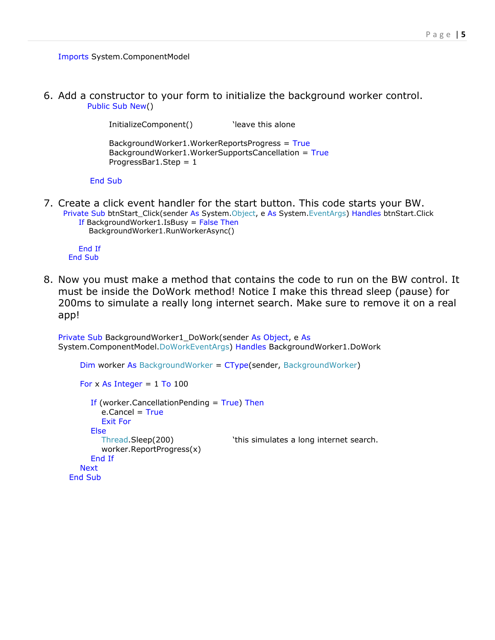Imports System.ComponentModel

6. Add a constructor to your form to initialize the background worker control. Public Sub New()

```
InitializeComponent() Yeave this alone
 BackgroundWorker1.WorkerReportsProgress = True
 BackgroundWorker1.WorkerSupportsCancellation = True
ProgressBar1.Step = 1
```
End Sub

7. Create a click event handler for the start button. This code starts your BW. Private Sub btnStart\_Click(sender As System.Object, e As System.EventArgs) Handles btnStart.Click If BackgroundWorker1.IsBusy = False Then BackgroundWorker1.RunWorkerAsync()

 End If End Sub

8. Now you must make a method that contains the code to run on the BW control. It must be inside the DoWork method! Notice I make this thread sleep (pause) for 200ms to simulate a really long internet search. Make sure to remove it on a real app!

```
Private Sub BackgroundWorker1_DoWork(sender As Object, e As
System.ComponentModel.DoWorkEventArgs) Handles BackgroundWorker1.DoWork
```

```
 Dim worker As BackgroundWorker = CType(sender, BackgroundWorker)
  For x As Integer = 1 To 100If (worker.CancellationPending = True) Then
       e.Cancel = True
        Exit For
      Else
       Thread.Sleep(200) Thread.Sleep(200) Thread.Sleep(200)
        worker.ReportProgress(x)
      End If
   Next
 End Sub
```